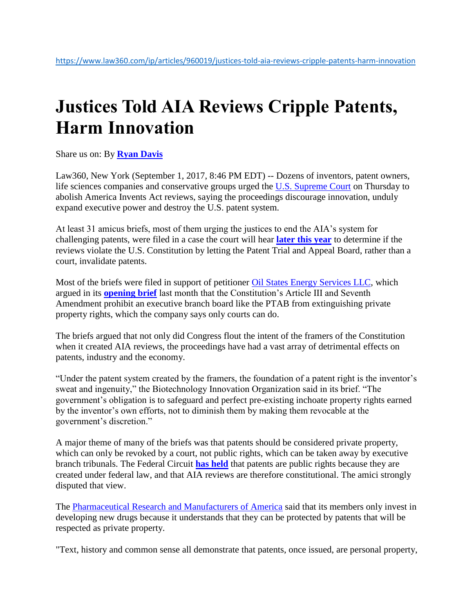## **Justices Told AIA Reviews Cripple Patents, Harm Innovation**

Share us on: By **[Ryan Davis](https://www.law360.com/ip/articles/960019/justices-told-aia-reviews-cripple-patents-harm-innovation)**

Law360, New York (September 1, 2017, 8:46 PM EDT) -- Dozens of inventors, patent owners, life sciences companies and conservative groups urged the [U.S. Supreme Court](https://www.law360.com/agencies/u-s-supreme-court) on Thursday to abolish America Invents Act reviews, saying the proceedings discourage innovation, unduly expand executive power and destroy the U.S. patent system.

At least 31 amicus briefs, most of them urging the justices to end the AIA's system for challenging patents, were filed in a case the court will hear **[later this year](https://www.law360.com/articles/932983)** to determine if the reviews violate the U.S. Constitution by letting the Patent Trial and Appeal Board, rather than a court, invalidate patents.

Most of the briefs were filed in support of petitioner [Oil States Energy Services LLC,](https://www.law360.com/companies/oil-states-international-inc) which argued in its **[opening brief](https://www.law360.com/articles/957866)** last month that the Constitution's Article III and Seventh Amendment prohibit an executive branch board like the PTAB from extinguishing private property rights, which the company says only courts can do.

The briefs argued that not only did Congress flout the intent of the framers of the Constitution when it created AIA reviews, the proceedings have had a vast array of detrimental effects on patents, industry and the economy.

"Under the patent system created by the framers, the foundation of a patent right is the inventor's sweat and ingenuity," the Biotechnology Innovation Organization said in its brief. "The government's obligation is to safeguard and perfect pre-existing inchoate property rights earned by the inventor's own efforts, not to diminish them by making them revocable at the government's discretion."

A major theme of many of the briefs was that patents should be considered private property, which can only be revoked by a court, not public rights, which can be taken away by executive branch tribunals. The Federal Circuit **[has held](https://www.law360.com/articles/733202)** that patents are public rights because they are created under federal law, and that AIA reviews are therefore constitutional. The amici strongly disputed that view.

The [Pharmaceutical Research and Manufacturers of America](https://www.law360.com/companies/phrma) said that its members only invest in developing new drugs because it understands that they can be protected by patents that will be respected as private property.

"Text, history and common sense all demonstrate that patents, once issued, are personal property,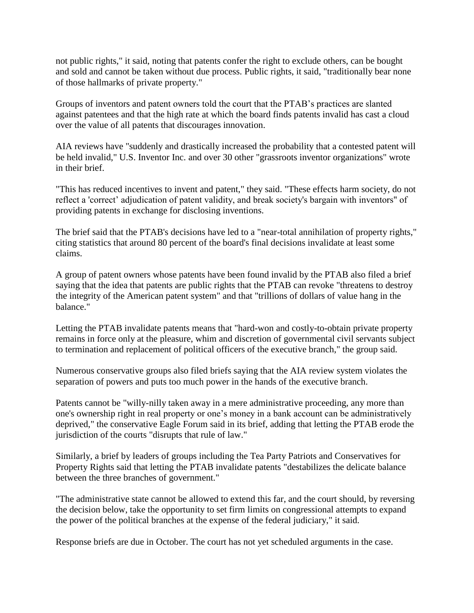not public rights," it said, noting that patents confer the right to exclude others, can be bought and sold and cannot be taken without due process. Public rights, it said, "traditionally bear none of those hallmarks of private property."

Groups of inventors and patent owners told the court that the PTAB's practices are slanted against patentees and that the high rate at which the board finds patents invalid has cast a cloud over the value of all patents that discourages innovation.

AIA reviews have "suddenly and drastically increased the probability that a contested patent will be held invalid," U.S. Inventor Inc. and over 30 other "grassroots inventor organizations" wrote in their brief.

"This has reduced incentives to invent and patent," they said. "These effects harm society, do not reflect a 'correct' adjudication of patent validity, and break society's bargain with inventors" of providing patents in exchange for disclosing inventions.

The brief said that the PTAB's decisions have led to a "near-total annihilation of property rights," citing statistics that around 80 percent of the board's final decisions invalidate at least some claims.

A group of patent owners whose patents have been found invalid by the PTAB also filed a brief saying that the idea that patents are public rights that the PTAB can revoke "threatens to destroy the integrity of the American patent system" and that "trillions of dollars of value hang in the balance."

Letting the PTAB invalidate patents means that "hard-won and costly-to-obtain private property remains in force only at the pleasure, whim and discretion of governmental civil servants subject to termination and replacement of political officers of the executive branch," the group said.

Numerous conservative groups also filed briefs saying that the AIA review system violates the separation of powers and puts too much power in the hands of the executive branch.

Patents cannot be "willy-nilly taken away in a mere administrative proceeding, any more than one's ownership right in real property or one's money in a bank account can be administratively deprived," the conservative Eagle Forum said in its brief, adding that letting the PTAB erode the jurisdiction of the courts "disrupts that rule of law."

Similarly, a brief by leaders of groups including the Tea Party Patriots and Conservatives for Property Rights said that letting the PTAB invalidate patents "destabilizes the delicate balance between the three branches of government."

"The administrative state cannot be allowed to extend this far, and the court should, by reversing the decision below, take the opportunity to set firm limits on congressional attempts to expand the power of the political branches at the expense of the federal judiciary," it said.

Response briefs are due in October. The court has not yet scheduled arguments in the case.